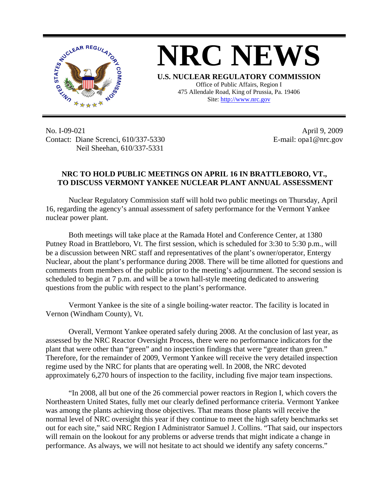

**NRC NEWS U.S. NUCLEAR REGULATORY COMMISSION** Office of Public Affairs, Region I 475 Allendale Road, King of Prussia, Pa. 19406

Site: http://www.nrc.gov

No. I-09-021 Contact: Diane Screnci, 610/337-5330 Neil Sheehan, 610/337-5331

April 9, 2009 E-mail: opa1@nrc.gov

## **NRC TO HOLD PUBLIC MEETINGS ON APRIL 16 IN BRATTLEBORO, VT., TO DISCUSS VERMONT YANKEE NUCLEAR PLANT ANNUAL ASSESSMENT**

Nuclear Regulatory Commission staff will hold two public meetings on Thursday, April 16, regarding the agency's annual assessment of safety performance for the Vermont Yankee nuclear power plant.

Both meetings will take place at the Ramada Hotel and Conference Center, at 1380 Putney Road in Brattleboro, Vt. The first session, which is scheduled for 3:30 to 5:30 p.m., will be a discussion between NRC staff and representatives of the plant's owner/operator, Entergy Nuclear, about the plant's performance during 2008. There will be time allotted for questions and comments from members of the public prior to the meeting's adjournment. The second session is scheduled to begin at 7 p.m. and will be a town hall-style meeting dedicated to answering questions from the public with respect to the plant's performance.

Vermont Yankee is the site of a single boiling-water reactor. The facility is located in Vernon (Windham County), Vt.

Overall, Vermont Yankee operated safely during 2008. At the conclusion of last year, as assessed by the NRC Reactor Oversight Process, there were no performance indicators for the plant that were other than "green" and no inspection findings that were "greater than green." Therefore, for the remainder of 2009, Vermont Yankee will receive the very detailed inspection regime used by the NRC for plants that are operating well. In 2008, the NRC devoted approximately 6,270 hours of inspection to the facility, including five major team inspections.

"In 2008, all but one of the 26 commercial power reactors in Region I, which covers the Northeastern United States, fully met our clearly defined performance criteria. Vermont Yankee was among the plants achieving those objectives. That means those plants will receive the normal level of NRC oversight this year if they continue to meet the high safety benchmarks set out for each site," said NRC Region I Administrator Samuel J. Collins. "That said, our inspectors will remain on the lookout for any problems or adverse trends that might indicate a change in performance. As always, we will not hesitate to act should we identify any safety concerns."